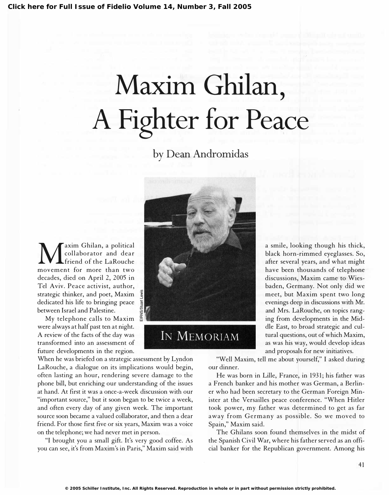# Maxim Ghilan, A Fighter for Peace

by Dean Andromidas

Maxim Ghilan, a political<br>friend of the LaRouche<br>movement for more than two collaborator and dear friend of the LaRouche movement for more than two decades, died on April 2, 2005 in Tel Aviv. Peace activist, author, strategic thinker, and poet, Maxim dedicated his life to bringing peace between Israel and Palestine.

My telephone calls to Maxim were always at half past ten at night. A review of the facts of the day was transformed into an assessment of future developments in the region.

When he was briefed on a strategic assessment by Lyndon LaRouche, a dialogue on its implications would begin, often lasting an hour, rendering severe damage to the phone bill, but enriching our understanding of the issues at hand. At first it was a once-a-week discussion with our "important source," but it soon began to be twice a week, and often every day of any given week. The important source soon became a valued collaborator, and then a dear friend. For those first five or six years, Maxim was a voice on the telephone; we had never met in person.

"I brought you a small gift. It's very good coffee. As you can see, it's from Maxim's in Paris," Maxim said with



IN MEMORIAM

a smile, looking though his thick, black horn-rimmed eyeglasses. So, after several years, and what might have been thousands of telephone discussions, Maxim came to Wiesbaden, Germany. Not only did we meet, but Maxim spent two long evenings deep in discussions with Mr. and Mrs. LaRouche, on topics ranging from developments in the Middle East, to broad strategic and cultural questions, out of which Maxim, as was his way, would develop ideas and proposals for new initiatives.

"Well Maxim, tell me about yourself," I asked during our dinner.

He was born in Lille, France, in 1931; his father was a French banker and his mother was German, a Berliner who had been secretary to the German Foreign Minister at the Versailles peace conference. "When Hitler took power, my father was determined to get as far away from Germany as possible. So we moved to Spain," Maxim said.

The Ghilans soon found themselves in the midst of the Spanish Civil War, where his father served as an official banker for the Republican government. Among his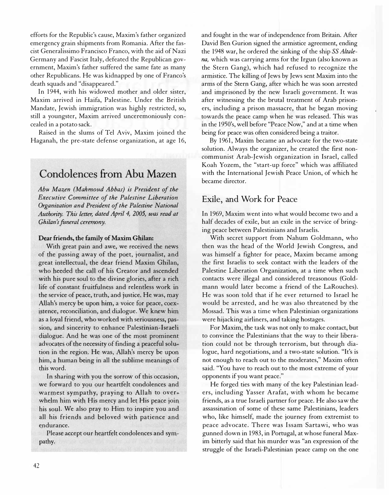efforts for the Republic's cause, Maxim's father organized emergency grain shipments from Romania. After the fascist Generalissimo Francisco Franco, with the aid of Nazi Germany and Fascist Italy, defeated the Republican government, Maxim's father suffered the same fate as many other Republicans. He was kidnapped by one of Franco's death squads and "disappeared."

In 1944, with his widowed mother and older sister, Maxim arrived in Haifa, Palestine. Under the British Mandate, Jewish immigration was highly restricted, so, still a youngster, Maxim arrived unceremoniously concealed in a potato sack.

Raised in the slums of Tel Aviv, Maxim joined the Haganah, the pre-state defense organization, at age 16,

# Condolences from Abu Mazen

Abu Mazen (Mahmoud Abbas) is President of the Executive Committee of the Palestine Liberation Organization and President of the Palestine National Authority. This letter, dated April 4, 2005, was read at Ghilan's funeral ceremony.

#### Dear friends, the family of Maxim Ghilan:

With great pain and awe, we received the news of the passing away of the poet, journalist, and great intellectual, the dear friend Maxim Ghilan, who heeded the call of his Creator and ascended with his pure soul to the divine glories, after a rich life of constant fruitfulness and relentless work in the service of peace, truth, and justice. He was, may Allah's mercy be upon him, a voice for peace, coexistence, reconciliation, and dialogue. We knew him as a loyal friend, who worked with seriousness, passion, and sincerity to enhance Palestinian-Israeli dialogue. And he was one of the most prominent advocates of the necessity of finding a peaceful solution in the region. He was, Allah's mercy be upon him, a human being in all the sublime meanings of this word.

In sharing with you the sorrow of this occasion, we forward to you our heartfelt condolences and warmest sympathy, praying to Allah to overwhelm him with His mercy and let His peace join his soul. We also pray to Him to inspire you and all his friends and beloved with patience and endurance.

Please accept our heartfelt condolences and sympathy.

and fought in the war of independence from Britain. After David Ben Gurion signed the armistice agreement, ending the 1948 war, he ordered the sinking of the ship SS Altalena, which was carrying arms for the Irgun (also known as the Stern Gang), which had refused to recognize the armistice. The killing of Jews by Jews sent Maxim into the arms of the Stern Gang, after which he was soon arrested and imprisoned by the new Israeli government. It was after witnessing the the brutal treatment of Arab prisoners, including a prison massacre, that he began moving towards the peace camp when he was released. This was in the 1950's, well before "Peace Now," and at a time when being for peace was often considered being a traitor.

By 1961, Maxim became an advocate for the two-state solution. Always the organizer, he created the first noncommunist Arab-Jewish organization in Israel, called Koah Yozem, the "start-up force" which was affiliated with the International Jewish Peace Union, of which he became director.

#### Exile, and Work for Peace

In 1969, Maxim went into what would become two and a half decades of exile, but an exile in the service of bringing peace between Palestinians and Israelis.

With secret support from Nahum Goldmann, who then was the head of the World Jewish Congress, and was himself a fighter for peace, Maxim became among the first Israelis to seek contact with the leaders of the Palestine Liberation Organization, at a time when such contacts were illegal and considered treasonous (Goldmann would later become a friend of the LaRouches). He was soon told that if he ever returned to Israel he would be arrested, and he was also threatened by the Mossad. This was a time when Palestinian organizations were hijacking airliners, and taking hostages.

For Maxim, the task was not only to make contact, but to convince the Palestinians that the way to their liberation could not be through terrorism, but through dialogue, hard negotiations, and a two-state solution. "It's is not enough to reach out to the moderates," Maxim often said. "You have to reach out to the most extreme of your opponents if you want peace."

He forged ties with many of the key Palestinian leaders, including Yasser Arafat, with whom he became friends, as a true Israeli partner for peace. He also saw the assassination of some of these same Palestinians, leaders who, like himself, made the journey from extremist to peace advocate. There was Issam Sartawi, who was gunned down in 1983, in Portugal, at whose funeral Maxim bitterly said that his murder was "an expression of the struggle of the Israeli-Palestinian peace camp on the one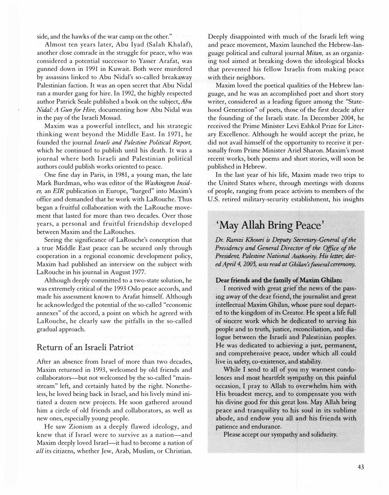side, and the hawks of the war camp on the other."

Almost ten years later, Abu Iyad (Salah Khalaf), another close comrade in the struggle for peace, who was considered a potential successor to Yasser Arafat, was gunned down in 1991 in Kuwait. Both were murdered by assassins linked to Abu Nidal's so-called breakaway Palestinian faction. It was an open secret that Abu Nidal ran a murder gang for hire. In 1992, the highly respected author Patrick Seale published a book on the subject, Abu Nidal: A Gun for Hire, documenting how Abu Nidal was in the pay of the Israeli Mossad.

Maxim was a powerful intellect, and his strategic thinking went beyond the Middle East. In 1971, he founded the journal Israeli and Palestine Political Report, which he continued to publish until his death. It was a journal where both Israeli and Palestinian political authors could publish works oriented to peace.

One fine day in Paris, in 1981, a young man, the late Mark Burdman, who was editor of the Washington Insider, an EIR publication in Europe, "barged" into Maxim's office and demanded that he work with LaRouche. Thus began a fruitful collaboration with the LaRouche movement that lasted for more than two decades. Over those years, a personal and fruitful friendship developed between Maxim and the LaRouches.

Seeing the significance of LaRouche's conception that a true Middle East peace can be secured only through cooperation in a regional economic development policy, Maxim had published an interview on the subject with LaRouche in his journal in August 1977.

Although deeply committed to a two-state solution, he was extremely critical of the 1993 Oslo peace accords, and made his assessment known to Arafat himself. Although he acknowledged the potential of the so-called "economic annexes" of the accord, a point on which he agreed with LaRouche, he clearly saw the pitfalls in the so-called gradual approach.

#### Return of an Israeli Patriot

After an absence from Israel of more than two decades, Maxim returned in 1993, welcomed by old friends and collaborators-but not welcomed by the so-called "mainstream" left, and certainly hated by the right. Nonetheless, he loved being back in Israel, and his lively mind initiated a dozen new projects. He soon gathered around him a circle of old friends and collaborators, as well as new ones, especially young people.

He saw Zionism as a deeply flawed ideology, and knew that if Israel were to survive as a nation-and Maxim deeply loved Israel-it had to become a nation of all its citizens, whether Jew, Arab, Muslim, or Christian.

Deeply disappointed with much of the Israeli left wing and peace movement, Maxim launched the Hebrew-language political and cultural journal Mitan, as an organizing tool aimed at breaking down the ideological blocks that prevented his fellow Israelis from making peace with their neighbors.

Maxim loved the poetical qualities of the Hebrew language, and he was an accomplished poet and short story writer, considered as a leading figure among the "Statehood Generation" of poets, those of the first decade after the founding of the Israeli state. In December 2004, he received the Prime Minister Levi Eshkol Prize for Literary Excellence. Although he would accept the prize, he did not avail himself of the opportunity to receive it personally from Prime Minister Ariel Sharon. Maxim's most recent works, both poems and short stories, will soon be published in Hebrew.

In the last year of his life, Maxim made two trips to the United States where, through meetings with dozens of people, ranging from peace activists to members of the U.S. retired military-security establishment, his insights

#### $\mathbf{C}$ May Allah Bring Peace'

Dr. Ramzi Khouri is Deputy Secretary-General of the Presidency and General Director of the Office of the President, Palestine National Authority. His letter, dated April 4, 2005, was read at Ghilan's funeral ceremony.

#### Dear friends and the family of Maxim Ghilan:

I received with great grief the news of the passing away of the dear friend, the journalist and great intellectual Maxim Ghilan, whose pure soul departed to the kingdom of its Creator. He spent a life full of sincere work which he dedicated to serving his people and to truth, justice, reconciliation, and dialogue between the Israeli and Palestinian peoples. He was dedicated to achieving a just, permanent, and comprehensive peace, under which all could live in safety, co-existence, and stability.

While I send to all of you my warmest condolences and most heartfelt sympathy on this painful occasion, I pray to Allah to overwhelm him with His broadest mercy, and to compensate you with his divine good for this great loss. May Allah bring peace and tranquility to his soul in its sublime abode, and endow you all and his friends with patience and endurance.

Please accept our sympathy and solidarity.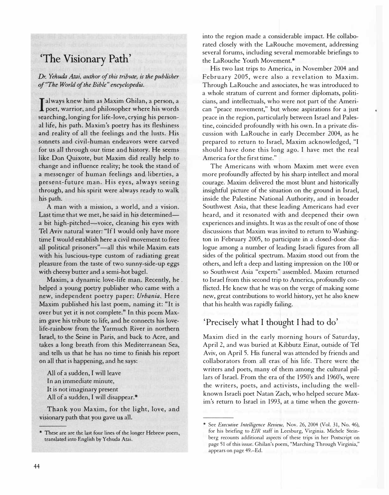# 'The Visionary Path'

Dr. Yehuda Atai, author of this tribute, is the publisher f "The World of the Bible" encyclopedia.

I always knew him as Maxim Ghilan, a person, a<br>poet, warrior, and philosopher where his words poet, warrior, and philosopher where his words searching, longing for life-love, crying his personal life, his path. Maxim's poetry has its fleshiness and reality of all the feelings and the lusts. His sonnets and civil-human endeavors were carved for us all through our time and history. He seems like Don Quixote, but Maxim did really help to change and influence reality; he took the stand of a messenger of human feelings and liberties, a present-future man. His eyes, always seeing through, and his spirit were always ready to walk his path.

A man with a mission, a world, and a vision. Last time that we met, he said in his determineda bit high-pitched—voice, cleaning his eyes with Tel Aviv natural water: "If I would only have more time I would establish here a civil movement to free all political prisoners"—all this while Maxim eats with his luscious-type custom of radiating great pleasure from the taste of two sunny-side-up eggs with cheesy butter and a semi-hot bagel.

Maxim, a dynamic love-life man. Recently, he . helped a young poetry publisher who came with a new, independent poetry paper: Urbania. Here Maxim published his last poem, naming it: "It is over but yet it is not complete." In this poem Maxim gave his tribute to life, and he connects his lovelife-rainbow from the Yarmuch River in northern Israel, to the Seine in Paris, and back to Acre, and takes a long breath from this Mediterranean Sea, and tells us that he has no time to finish his report on all that is happening, and he says:

All of a sudden, I will leave In an immediate minute, It is not imaginary present All of a sudden, I will disappear.\*

Thank you Maxim, for the light, love, and visionary path that you gave us all.

into the region made a considerable impact. He collaborated closely with the LaRouche movement, addressing several forums, including several memorable briefings to the LaRouche Youth Movement.\*

His two last trips to America, in November 2004 and February 2005, were also a revelation to Maxim. Through LaRouche and associates, he was introduced to a whole stratum of current and former diplomats, politicians, and intellectuals, who were not part of the American "peace movement," but whose aspirations for a just peace in the region, particularly between Israel and Palestine, coincided profoundly with his own. In a private discussion with LaRouche in early December 2004, as he prepared to return to Israel, Maxim acknowledged, "I should have done this long ago. I have met the real America for the first time."

The Americans with whom Maxim met were even more profoundly affected by his sharp intellect and moral courage. Maxim delivered the most blunt and historically insightful picture of the situation on the ground in Israel, inside the Palestine National Authority, and in broader Southwest Asia, that these leading Americans had ever heard, and it resonated with and deepened their own experiences and insights. It was as the result of one of those discussions that Maxim was invited to return to Washington in February 2005, to participate in a closed-door dialogue among a number of leading Israeli figures from all sides of the political spectrum. Maxim stood out from the others, and left a deep and lasting impression on the 100 or so Southwest Asia "experts" assembled. Maxim returned to Israel from this second trip to America, profoundly conflicted. He knew that he was on the verge of making some new, great contributions to world history, yet he also knew that his health was rapidly failing.

### 'Precisely what I thought I had to do'

Maxim died in the early morning hours of Saturday, April 2, and was buried at Kibbutz Einat, outside of Tel Aviv, on April 5. His funeral was attended by friends and collaborators from all eras of his life. There were the writers and poets, many of them among the cultural pillars of Israel. From the era of the 1950's and 1960's, were the writers, poets, and activists, including the wellknown Israeli poet Natan Zach, who helped secure Maxim's return to Israel in 1993, at a time when the govern-

<sup>\*</sup> These are are the last four lines of the longer Hebrew poem, translated into English by Yehuda Atai.

<sup>\*</sup> See Executive Intelligence Review, Nov. 26, 2004 (Vol. 31, No. 46), for his briefing to EIR staff in Leesburg, Virginia. Michele Steinberg recounts additional aspects of these trips in her Postscript on page 51 of this issue. Ghilan's poem, "Marching Through Virginia," appears on page 49.-Ed.